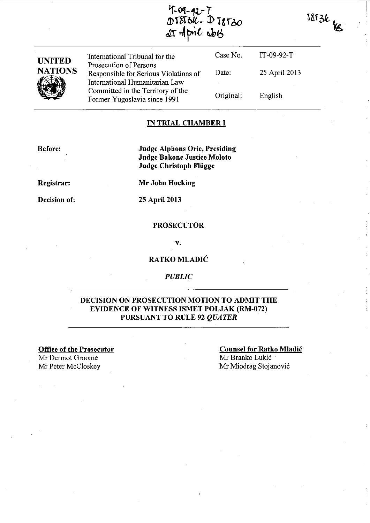$4.09 - 92 - 7$ <br>
DI8T3K - D J8T30<br>
2T April 0013

 $38536$ 

| <b>UNITED</b><br><b>NATIONS</b> | International Tribunal for the<br>Prosecution of Persons<br>Responsible for Serious Violations of<br>International Humanitarian Law | Case No.<br>Date: | $IT-09-92-T$<br>25 April 2013 |
|---------------------------------|-------------------------------------------------------------------------------------------------------------------------------------|-------------------|-------------------------------|
|                                 | Committed in the Territory of the<br>Former Yugoslavia since 1991                                                                   | Original:         | English                       |
|                                 |                                                                                                                                     |                   |                               |

#### **IN TRIAL CHAMBER I**

**Before:** 

**Judge Alphons Orie, Presiding Judge Bakone Justice Moloto Judge Christoph Fliigge** 

**Registrar:** 

**Decision of:** 

**Mr John Hocking 25** April 2013

#### **PROSECUTOR**

v.

#### **RATKO MLADIC**

#### *PUBLIC*

#### **DECISION ON PROSECUTION MOTION TO ADMIT THE EVIDENCE OF WITNESS ISMET POLJAK (RM-072) PURSUANT TO RULE 92** *QUATER*

**Office of the Prosecutor Mr Dermot Groome**<br>**Mr Peter McCloskey** 

**Counsel for Ratko Mladic**  Mr Branko Lukić Mr Miodrag Stojanović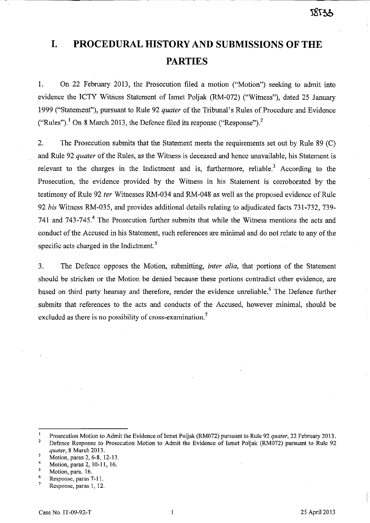# **I. PROCEDURAL HISTORY AND SUBMISSIONS OF THE PARTIES**

1. On 22 February 2013, the Prosecution filed a motion ("Motion") seeking to admit into evidence the ICTY Witness Statement of Ismet Poljak (RM-072) ("Witness"), dated 25 January 1999 ("Statement"), pursuant to Rule 92 *quater* of the Tribunal's Rules of Procedure and Evidence ("Rules").<sup>1</sup> On 8 March 2013, the Defence filed its response ("Response").<sup>2</sup>

2. The Prosecution submits that the Statement meets the requirements set out by Rule 89 (C) and Rule 92 *quater* of the Rules, as the Witness is deceased and hence unavailable, his Statement is relevant to the charges in the Indictment and is, furthermore, reliable.<sup>3</sup> According to the Prosecution, the evidence provided by the Witness in his Statement is corroborated by the testimony of Rule 92 *ter* Witnesses RM-034 and RM-048 as well as the proposed evidence of Rule 92 his Witness RM-035, and provides additional details relating to adjudicated facts 731-732, 739- 741 and 743-745.4 The Prosecution further submits that while the Witness mentions the acts and conduct of the Accused in his Statement, such references are minimal and do not relate to any of the specific acts charged in the Indictment.<sup>5</sup>

3. The Defence opposes the Motion, submitting, *inter alia,* that portions of the Statement should be stricken or the Motion be denied because these portions contradict other evidence, are based on third party hearsay and therefore, render the evidence unreliable.<sup>6</sup> The Defence further submits that references to the acts and conducts of the Accused, however minimal, should be excluded as there is no possibility of cross-examination.<sup>7</sup>

 $\mathbf{1}$ Prosecution Motion to Admit the Evidence of Ismet Poljak (RM072) pursuant to Rule 92 *quater*, 22 February 2013. 2 Defence Response to Prosecution Motion to Admit the Evidence of Ismet Poljak (RM072) pursuant to Rule 92 *quater,* 8 March 2013.

þ Motion, paras 2, 6-8, 12-13.

<sup>4</sup>  Motion, paras 2,10-11, 16.

Motion, para. 16.

<sup>6</sup>  Response, paras 7-11.

Response, paras 1, 12.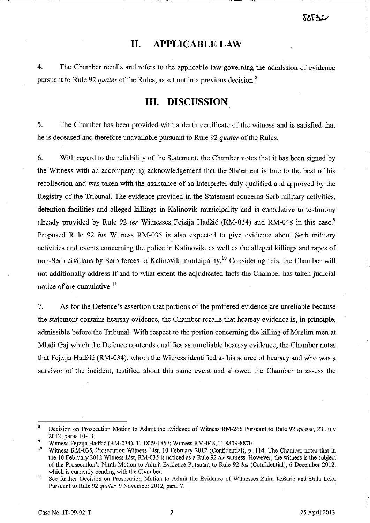### **11. APPLICABLE LAW**

4. The Chamber recalls and refers to the applicable law governing the admission of evidence pursuant to Rule 92 *quater* of the Rules, as set out in a previous decision. <sup>8</sup>

## **Ill. DISCUSSION**

5. The Chamber has been provided with a death certificate of the witness and is satisfied that he is deceased and therefore unavailable pursuant to Rule 92 *quater* of the Rules.

6. With regard to the reliability of the Statement, the Chamber notes that it has been signed by the Witness with an accompanying acknowledgement that the Statement is true to the best of his recollection and was taken with the assistance of an interpreter duly qualified and approved by the Registry of the Tribunal. The evidence provided in the Statement concerns Serb military activities, detention facilities and alleged killings in Kalinovik municipality and is cumulative to testimony already provided by Rule 92 *ter* Witnesses Feizija Hadžić (RM-034) and RM-048 in this case.<sup>9</sup> Proposed Rule 92 *his* Witness RM-035 is also expected to give evidence about Serb military activities and events concerning the police in Kalinovik, as well as the alleged killings and rapes of non-Serb civilians by Serb forces in Kalinovik municipality.<sup>10</sup> Considering this, the Chamber will not additionally address if and to what extent the adjudicated facts the Chamber has taken judicial notice of are cumulative.<sup>11</sup>

7. As for the Defence's assertion that portions of the proffered evidence are unreliable because the statement contains hearsay evidence, the Chamber recalls that hearsay evidence is, in principle, admissible before the Tribunal. With respect to the portion concerning the killing of Muslim men at Mladi Gaj which the Defence contends qualifies as unreliable hearsay evidence, the Chamber notes that Fejzija Hadžić (RM-034), whom the Witness identified as his source of hearsay and who was a survivor of the incident, testified about this same event and allowed the Chamber to assess the

 $\bf{3}$ Decision on Prosecution Motion to Admit the Evidence of Witness RM-266 Pursuant to Rule 92 *quater,* 23 July 2012, paras 10-13.

Witness Fejzija Hadzi6 (RM-034), T. 1829-1867; Witness RM-048, T. 8809-8870.

<sup>&</sup>lt;sup>10</sup> Witness RM-035, Prosecution Witness List, 10 February 2012 (Confidential), p. 114. The Chamber notes that in the 10 February 2012 Witness List, RM-035 is noticed as a Rule 92 *ter* witness. However, the witness is the subject of the Prosecution's Ninth Motion to Admit Evidence Pursuant to Rule 92 *his* (Confidential), 6 December 2012, which is currently pending with the Chamber.

<sup>&</sup>lt;sup>11</sup> See further Decision on Prosecution Motion to Admit the Evidence of Witnesses Zaim Košarić and Đula Leka Pursuant to Rule 92 *quater,* 9 November 2012, para. 7.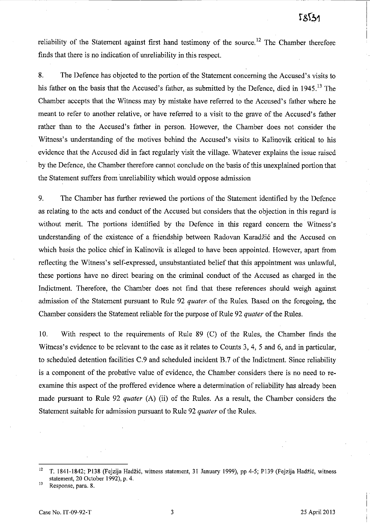reliability of the Statement against first hand testimony of the source.<sup>12</sup> The Chamber therefore finds that there is no indication of unreliability in this respect.

8. The Defence has objected to the portion of the Statement concerning the Accused's visits to his father on the basis that the Accused's father, as submitted by the Defence, died in 1945.<sup>13</sup> The Chamber accepts that the Witness may by mistake have referred to the Accused's father where he meant to refer to another relative, or have referred to a visit to the grave of the Accused's father rather than to the Accused's father in person. However, the Chamber does not consider the Witness's understanding of the motives behind the Accused's visits to Kalinovik critical to his evidence that the Accused did in fact regularly visit the village. Whatever explains the issue raised by the Defence, the Chamber therefore cannot conclude on the basis of this unexplained portion that the Statement suffers from Unreliability which would oppose admission

9. The Chamber has further reviewed the portions of the Statement identified by the Defence as relating to the acts and conduct of the Accused but considers that the objection in this regard is without merit. The portions identified by the Defence in this regard concern the Witness's understanding of the existence of a friendship between Radovan Karadžić and the Accused on which basis the police chief in Kalinovik is alleged to have been appointed. However, apart from reflecting the Witness's self-expressed, unsubstantiated belief that this appointment was unlawful, these portions have no direct bearing on the criminal conduct of the Accused as charged in the Indictment. Therefore, the Chamber does not find that these references should weigh against admission of the Statement pursuant to Rule 92 *quater.* of the Rules. Based on the foregoing, the Chamber considers the Statement reliable for the purpose of Rule 92 *quater* of the Rules.

10. With respect to the requirements of Rule 89 (C) of the Rules, the Chamber finds the Witness's evidence to be relevant to the case as it relates to Counts 3, 4, 5 and 6, and in particular, to scheduled detention facilities C.9 and scheduled incident B.7 of the Indictment. Since reliability is a component of the probative value of evidence, the Chamber considers there is no need to reexamine this aspect of the proffered evidence where a determination of reliability has already been made pursuant to Rule 92 *quater* (A) (ii) of the Rules. As a result, the Chamber considers the Statement suitable for admission pursuant to Rule 92 *quater* of the Rules.

13 Response, para. 8.

<sup>&</sup>lt;sup>12</sup> T. 1841-1842; P138 (Fejzija Hadžić, witness statement, 31 January 1999), pp 4-5; P139 (Fejzija Hadžić, witness statement, 20 October 1992), p. 4.